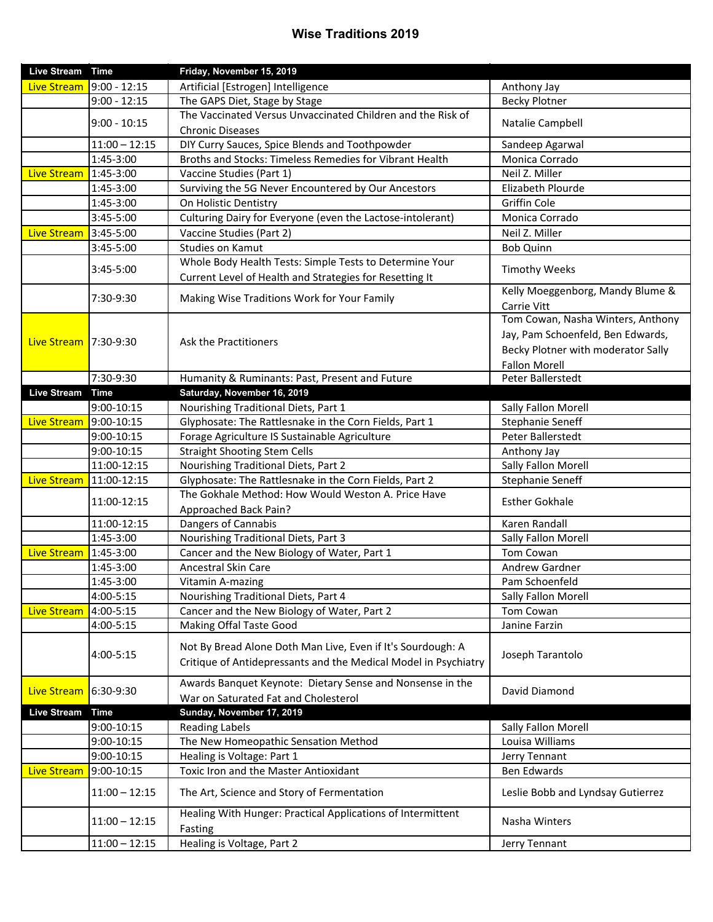## **Wise Traditions 2019**

| Live Stream Time   |                       | Friday, November 15, 2019                                              |                                    |
|--------------------|-----------------------|------------------------------------------------------------------------|------------------------------------|
| Live Stream        | $9:00 - 12:15$        | Artificial [Estrogen] Intelligence                                     | Anthony Jay                        |
|                    | $9:00 - 12:15$        | The GAPS Diet, Stage by Stage                                          | <b>Becky Plotner</b>               |
|                    |                       | The Vaccinated Versus Unvaccinated Children and the Risk of            |                                    |
|                    | $9:00 - 10:15$        | <b>Chronic Diseases</b>                                                | Natalie Campbell                   |
|                    | $11:00 - 12:15$       | DIY Curry Sauces, Spice Blends and Toothpowder                         | Sandeep Agarwal                    |
|                    | 1:45-3:00             | Broths and Stocks: Timeless Remedies for Vibrant Health                | Monica Corrado                     |
| <b>Live Stream</b> | $1:45-3:00$           | Vaccine Studies (Part 1)                                               | Neil Z. Miller                     |
|                    | 1:45-3:00             | Surviving the 5G Never Encountered by Our Ancestors                    | Elizabeth Plourde                  |
|                    | 1:45-3:00             | On Holistic Dentistry                                                  | Griffin Cole                       |
|                    | 3:45-5:00             | Culturing Dairy for Everyone (even the Lactose-intolerant)             | Monica Corrado                     |
| <b>Live Stream</b> | 3:45-5:00             | Vaccine Studies (Part 2)                                               | Neil Z. Miller                     |
|                    | 3:45-5:00             | Studies on Kamut                                                       | <b>Bob Quinn</b>                   |
|                    |                       | Whole Body Health Tests: Simple Tests to Determine Your                |                                    |
|                    | 3:45-5:00             | Current Level of Health and Strategies for Resetting It                | <b>Timothy Weeks</b>               |
|                    |                       |                                                                        | Kelly Moeggenborg, Mandy Blume &   |
|                    | 7:30-9:30             | Making Wise Traditions Work for Your Family                            | Carrie Vitt                        |
|                    |                       |                                                                        | Tom Cowan, Nasha Winters, Anthony  |
|                    | Live Stream 7:30-9:30 | Ask the Practitioners                                                  | Jay, Pam Schoenfeld, Ben Edwards,  |
|                    |                       |                                                                        | Becky Plotner with moderator Sally |
|                    |                       |                                                                        | <b>Fallon Morell</b>               |
|                    | 7:30-9:30             | Humanity & Ruminants: Past, Present and Future                         | Peter Ballerstedt                  |
| <b>Live Stream</b> | <b>Time</b>           | Saturday, November 16, 2019                                            |                                    |
|                    | 9:00-10:15            | Nourishing Traditional Diets, Part 1                                   | Sally Fallon Morell                |
| <b>Live Stream</b> | 9:00-10:15            | Glyphosate: The Rattlesnake in the Corn Fields, Part 1                 | Stephanie Seneff                   |
|                    | 9:00-10:15            | Forage Agriculture IS Sustainable Agriculture                          | Peter Ballerstedt                  |
|                    | 9:00-10:15            | <b>Straight Shooting Stem Cells</b>                                    | Anthony Jay                        |
|                    | 11:00-12:15           | Nourishing Traditional Diets, Part 2                                   | Sally Fallon Morell                |
| <b>Live Stream</b> | 11:00-12:15           | Glyphosate: The Rattlesnake in the Corn Fields, Part 2                 | Stephanie Seneff                   |
|                    |                       | The Gokhale Method: How Would Weston A. Price Have                     |                                    |
|                    | 11:00-12:15           | Approached Back Pain?                                                  | <b>Esther Gokhale</b>              |
|                    | 11:00-12:15           | Dangers of Cannabis                                                    | Karen Randall                      |
|                    | 1:45-3:00             | Nourishing Traditional Diets, Part 3                                   | Sally Fallon Morell                |
| <b>Live Stream</b> | 1:45-3:00             | Cancer and the New Biology of Water, Part 1                            | Tom Cowan                          |
|                    | 1:45-3:00             | Ancestral Skin Care                                                    | Andrew Gardner                     |
|                    | 1:45-3:00             | Vitamin A-mazing                                                       | Pam Schoenfeld                     |
|                    | 4:00-5:15             | Nourishing Traditional Diets, Part 4                                   | Sally Fallon Morell                |
| <b>Live Stream</b> | 4:00-5:15             | Cancer and the New Biology of Water, Part 2                            | Tom Cowan                          |
|                    | 4:00-5:15             | Making Offal Taste Good                                                | Janine Farzin                      |
|                    |                       |                                                                        |                                    |
|                    | 4:00-5:15             | Not By Bread Alone Doth Man Live, Even if It's Sourdough: A            | Joseph Tarantolo                   |
|                    |                       | Critique of Antidepressants and the Medical Model in Psychiatry        |                                    |
|                    |                       | Awards Banquet Keynote: Dietary Sense and Nonsense in the              |                                    |
| <b>Live Stream</b> | $16:30 - 9:30$        | War on Saturated Fat and Cholesterol                                   | David Diamond                      |
| <b>Live Stream</b> | Time                  | Sunday, November 17, 2019                                              |                                    |
|                    | 9:00-10:15            | <b>Reading Labels</b>                                                  | Sally Fallon Morell                |
|                    | 9:00-10:15            | The New Homeopathic Sensation Method                                   | Louisa Williams                    |
|                    | 9:00-10:15            | Healing is Voltage: Part 1                                             | Jerry Tennant                      |
| Live Stream        | 9:00-10:15            | Toxic Iron and the Master Antioxidant                                  | Ben Edwards                        |
|                    | $11:00 - 12:15$       | The Art, Science and Story of Fermentation                             | Leslie Bobb and Lyndsay Gutierrez  |
|                    | $11:00 - 12:15$       | Healing With Hunger: Practical Applications of Intermittent<br>Fasting | Nasha Winters                      |
|                    | $11:00 - 12:15$       | Healing is Voltage, Part 2                                             | Jerry Tennant                      |
|                    |                       |                                                                        |                                    |